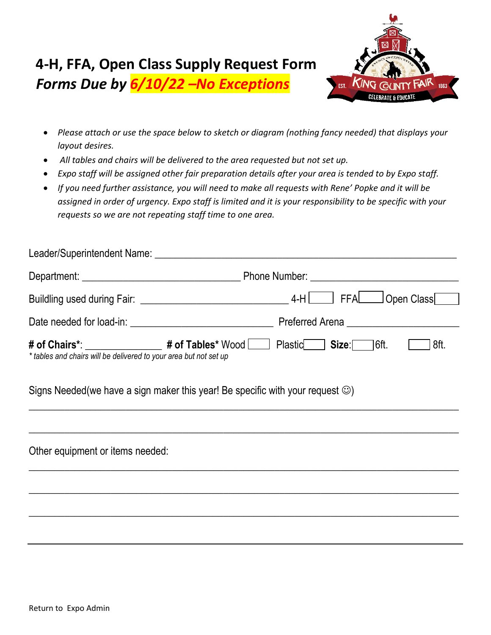

- *Please attach or use the space below to sketch or diagram (nothing fancy needed) that displays your layout desires.*
- *All tables and chairs will be delivered to the area requested but not set up.*
- *Expo staff will be assigned other fair preparation details after your area is tended to by Expo staff.*
- *If you need further assistance, you will need to make all requests with Rene' Popke and it will be assigned in order of urgency. Expo staff is limited and it is your responsibility to be specific with your requests so we are not repeating staff time to one area.*

| Leader/Superintendent Name: Leader/Superintendent Name:                                                                                                                                                                             |                                                                                                                                                                                                                               |
|-------------------------------------------------------------------------------------------------------------------------------------------------------------------------------------------------------------------------------------|-------------------------------------------------------------------------------------------------------------------------------------------------------------------------------------------------------------------------------|
| Department: New York School School School School School School School School School School School School School School School School School School School School School School School School School School School School Schoo      | Phone Number: National Accounts and Accounts and Accounts and Accounts are also been accounted as a series of the series of the series of the series of the series of the series of the series of the series of the series of |
| <b>Buildling used during Fair:</b> No has a state of the state of the state of the state of the state of the state of the state of the state of the state of the state of the state of the state of the state of the state of the s | 4-H FFA Open Class                                                                                                                                                                                                            |
| Date needed for load-in: Date needed for load-in:                                                                                                                                                                                   | Preferred Arena <b>Exercise Serverse Serverse Serverse</b>                                                                                                                                                                    |
| # of Chairs*: _______________<br>* tables and chairs will be delivered to your area but not set up                                                                                                                                  | # of Tables* Wood   Plastic<br>$\mid$ Size: $\sqrt{\mid}$ 6ft.<br>8ft.                                                                                                                                                        |

 $\overline{\phantom{a}}$  , and the contribution of the contribution of the contribution of the contribution of the contribution of the contribution of the contribution of the contribution of the contribution of the contribution of the

 $\mathcal{L}_\text{max}$  , and the contract of the contract of the contract of the contract of the contract of the contract of the contract of the contract of the contract of the contract of the contract of the contract of the contr

\_\_\_\_\_\_\_\_\_\_\_\_\_\_\_\_\_\_\_\_\_\_\_\_\_\_\_\_\_\_\_\_\_\_\_\_\_\_\_\_\_\_\_\_\_\_\_\_\_\_\_\_\_\_\_\_\_\_\_\_\_\_\_\_\_\_\_\_\_\_\_\_\_\_\_\_\_\_\_\_\_\_\_\_

 $\mathcal{L}_\mathcal{L} = \{ \mathcal{L}_\mathcal{L} = \{ \mathcal{L}_\mathcal{L} = \{ \mathcal{L}_\mathcal{L} = \{ \mathcal{L}_\mathcal{L} = \{ \mathcal{L}_\mathcal{L} = \{ \mathcal{L}_\mathcal{L} = \{ \mathcal{L}_\mathcal{L} = \{ \mathcal{L}_\mathcal{L} = \{ \mathcal{L}_\mathcal{L} = \{ \mathcal{L}_\mathcal{L} = \{ \mathcal{L}_\mathcal{L} = \{ \mathcal{L}_\mathcal{L} = \{ \mathcal{L}_\mathcal{L} = \{ \mathcal{L}_\mathcal{$ 

\_\_\_\_\_\_\_\_\_\_\_\_\_\_\_\_\_\_\_\_\_\_\_\_\_\_\_\_\_\_\_\_\_\_\_\_\_\_\_\_\_\_\_\_\_\_\_\_\_\_\_\_\_\_\_\_\_\_\_\_\_\_\_\_\_\_\_\_\_\_\_\_\_\_\_\_\_\_\_\_\_\_\_\_

Signs Needed(we have a sign maker this year! Be specific with your request  $\circledcirc$ )

Other equipment or items needed: